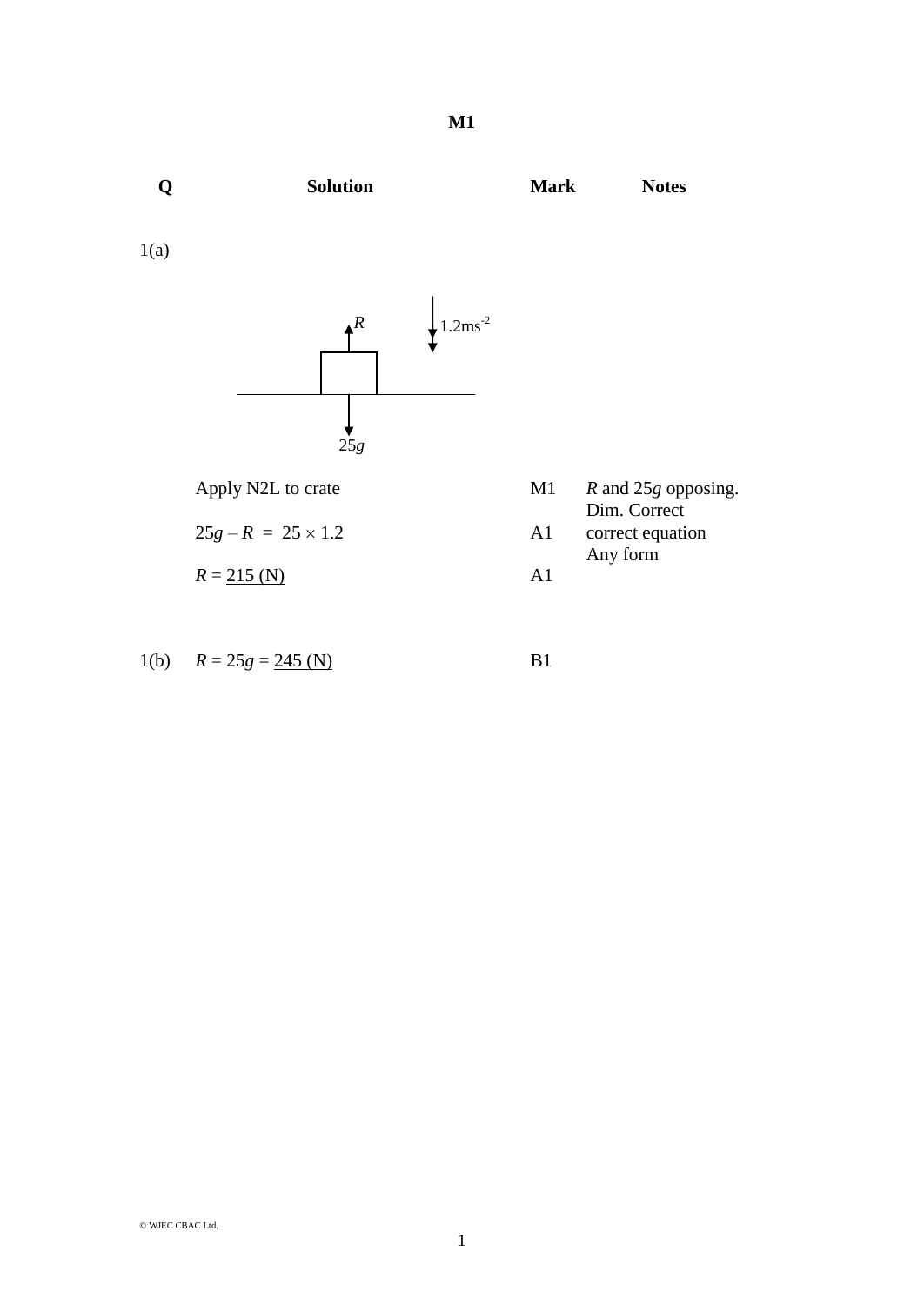**Q Solution Mark Notes** 1(a) Apply N2L to crate M1 *R* and 25*g* opposing. Dim. Correct  $25g - R = 25 \times 1.2$  A1 correct equation Any form  $R = 215 \, (\text{N})$  A1 *R*  $25g$  $\frac{1}{2}$  1.2ms<sup>-2</sup>

1(b) 
$$
R = 25g = 245
$$
 (N) B1

© WJEC CBAC Ltd.

$$
\mathcal{L}_{\mathcal{A}}(x)
$$

1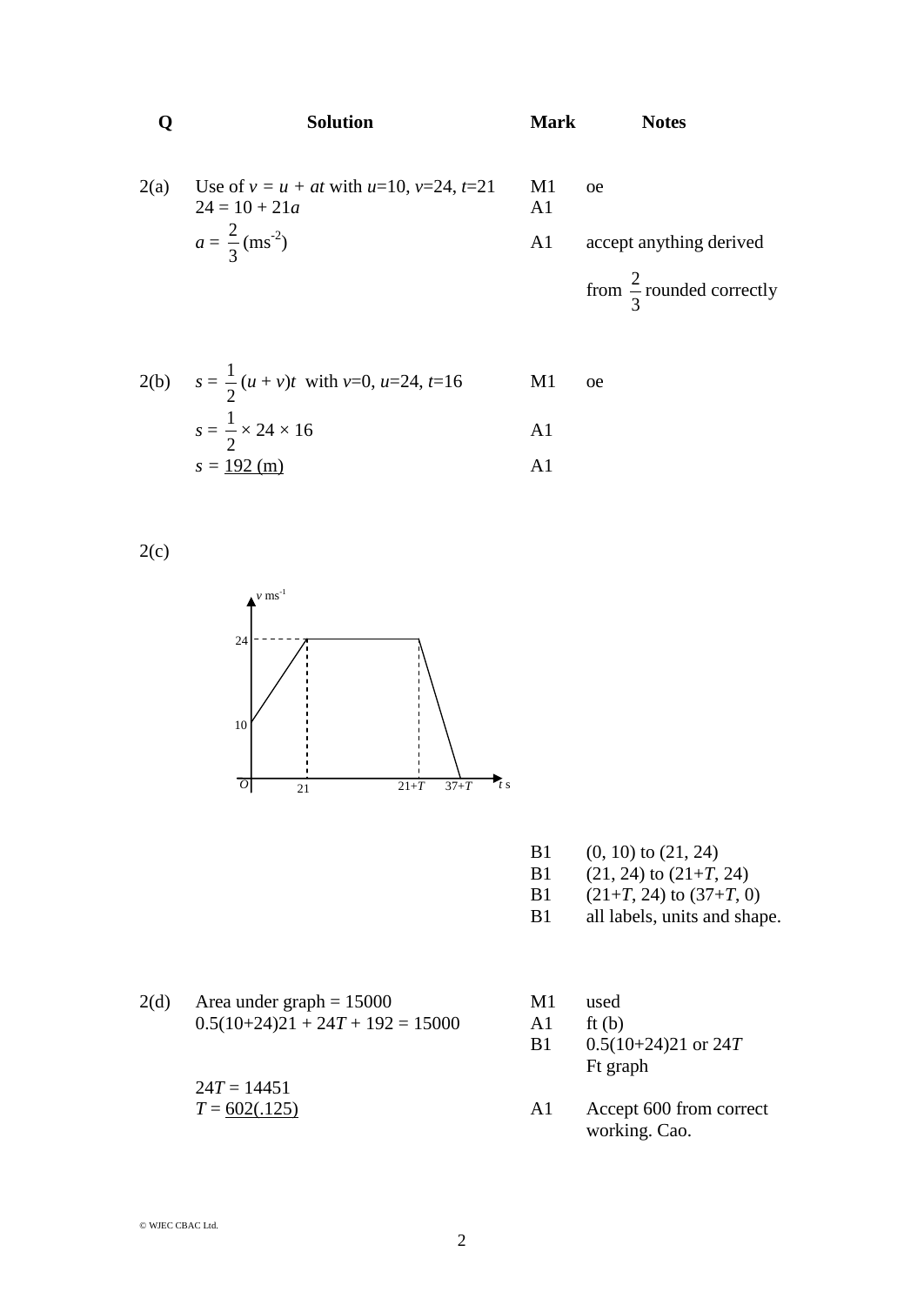|      | <b>Solution</b>                                                      | <b>Mark</b>          | <b>Notes</b>                         |
|------|----------------------------------------------------------------------|----------------------|--------------------------------------|
| 2(a) | Use of $v = u + at$ with $u=10$ , $v=24$ , $t=21$<br>$24 = 10 + 21a$ | M1<br>A <sub>1</sub> | <sub>oe</sub>                        |
|      | $a = \frac{2}{3}$ (ms <sup>-2</sup> )                                | A <sub>1</sub>       | accept anything derived              |
|      |                                                                      |                      | from $\frac{2}{5}$ rounded correctly |

2(b) 
$$
s = \frac{1}{2} (u + v)t
$$
 with v=0, u=24, t=16  
\n $s = \frac{1}{2} \times 24 \times 16$   
\n $s = \frac{192 \text{ (m)}}{}$  A1

 $2(c)$ 



B1 (0, 10) to (21, 24)

3

- B1 (21, 24) to  $(21+T, 24)$ <br>B1 (21+T, 24) to  $(37+T, 0)$
- $(21+T, 24)$  to  $(37+T, 0)$
- B1 all labels, units and shape.
- $2(d)$  Area under graph = 15000 M1 used  $0.5(10+24)21 + 24T + 192 = 15000$  A1 ft (b)

 $24T = 14451$ 

- 
- 
- B1 0.5(10+24)21 or 24*T* Ft graph
- $T = 602(.125)$  A1 Accept 600 from correct working. Cao.

© WJEC CBAC Ltd.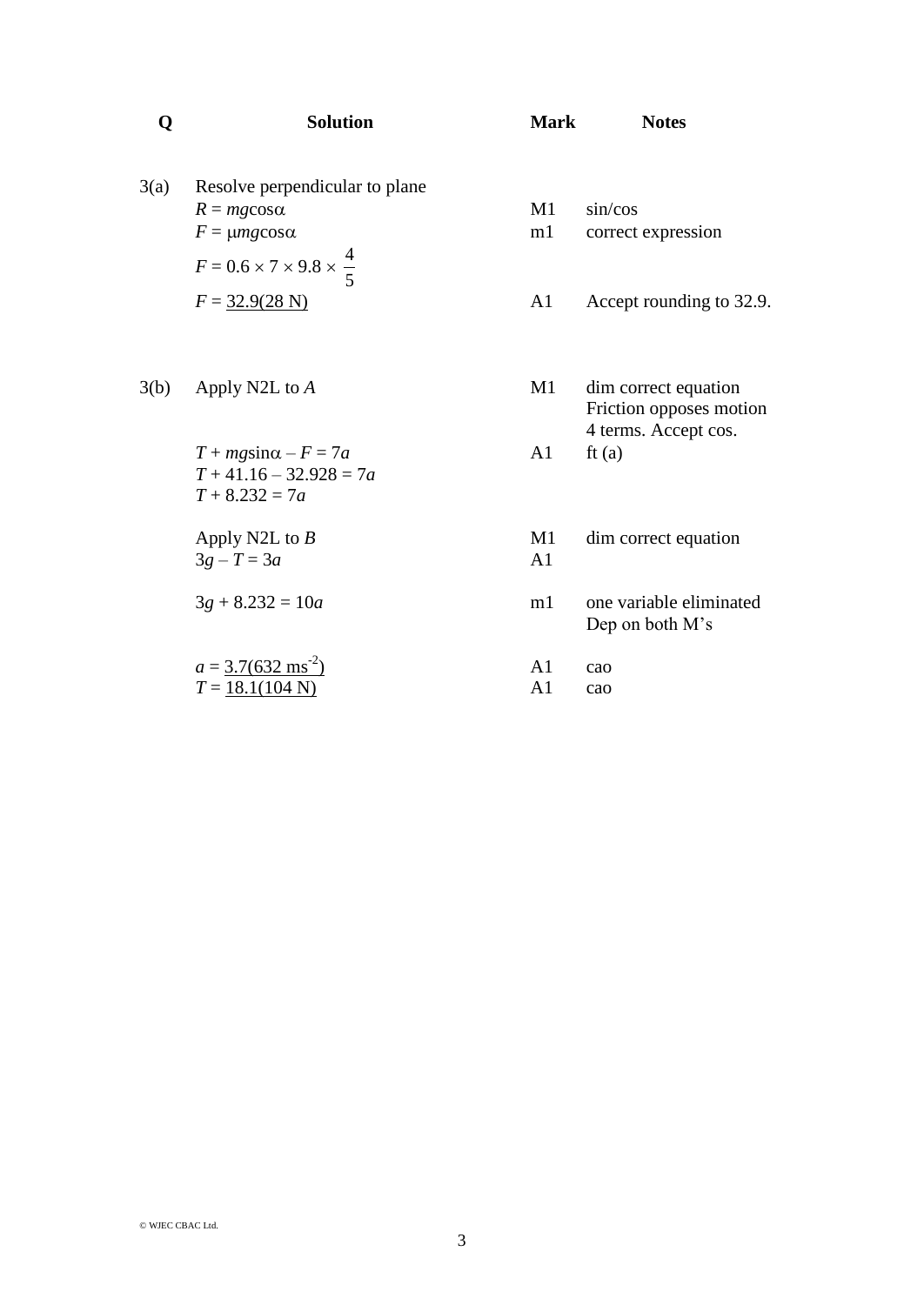| Q    | <b>Solution</b>                                                                                | <b>Mark</b>          | <b>Notes</b>                                                                        |
|------|------------------------------------------------------------------------------------------------|----------------------|-------------------------------------------------------------------------------------|
| 3(a) | Resolve perpendicular to plane<br>$R = mg$ cos $\alpha$                                        | M1                   | sin/cos                                                                             |
|      | $F = \mu mg \cos \alpha$                                                                       | m1                   | correct expression                                                                  |
|      | $F = 0.6 \times 7 \times 9.8 \times \frac{4}{5}$                                               |                      |                                                                                     |
|      | $F = 32.9(28 \text{ N})$                                                                       | A <sub>1</sub>       | Accept rounding to 32.9.                                                            |
| 3(b) | Apply N2L to A<br>$T + mg\sin\alpha - F = 7a$<br>$T + 41.16 - 32.928 = 7a$<br>$T + 8.232 = 7a$ | M1<br>A1             | dim correct equation<br>Friction opposes motion<br>4 terms. Accept cos.<br>ft $(a)$ |
|      | Apply N2L to $B$<br>$3g - T = 3a$                                                              | M1<br>A <sub>1</sub> | dim correct equation                                                                |
|      | $3g + 8.232 = 10a$                                                                             | m1                   | one variable eliminated<br>Dep on both M's                                          |
|      | $a = 3.7(632 \text{ ms}^2)$                                                                    | A <sub>1</sub>       | cao                                                                                 |
|      | $T = 18.1(104 \text{ N})$                                                                      | A <sub>1</sub>       | cao                                                                                 |
|      |                                                                                                |                      |                                                                                     |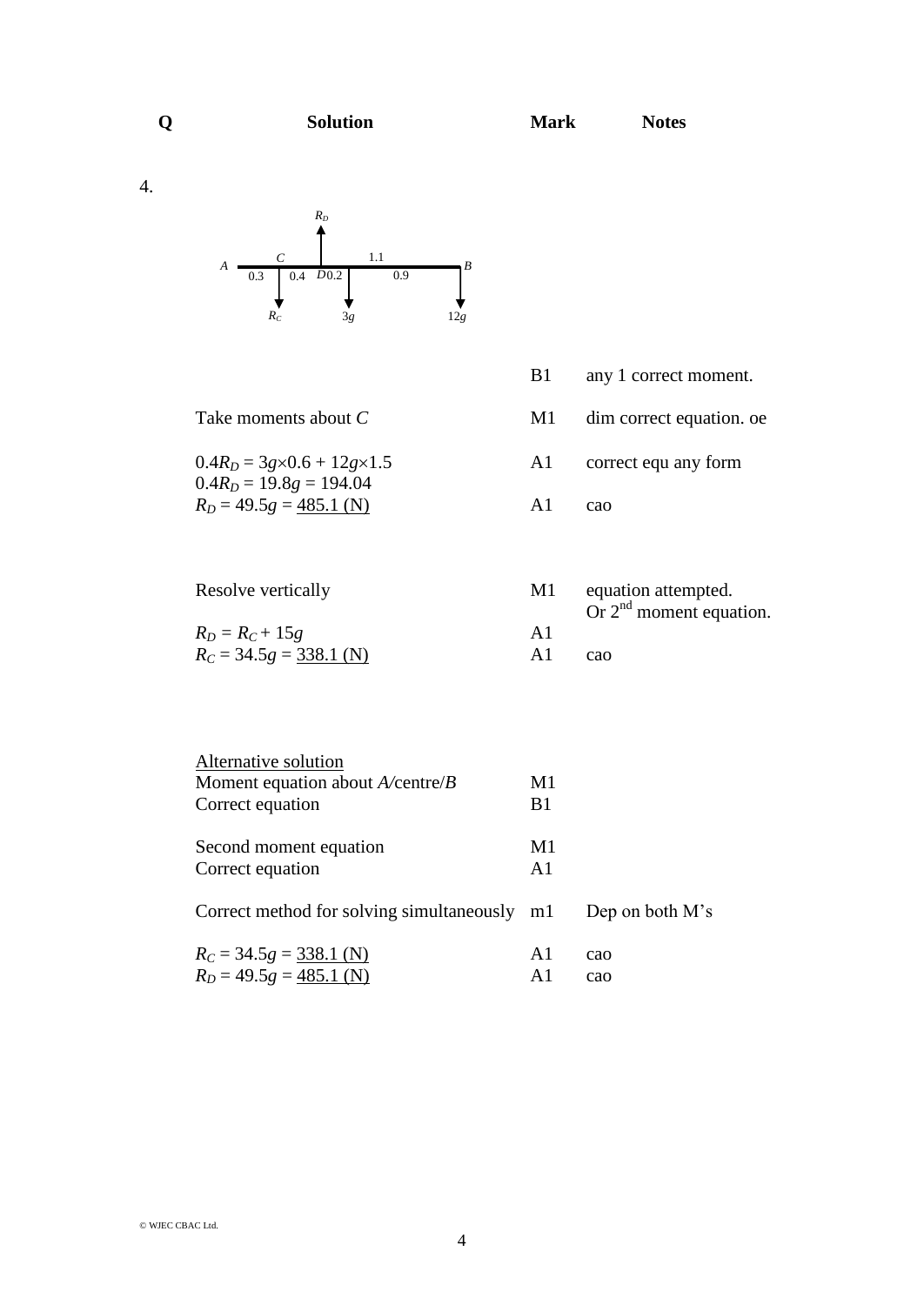4.



 $0.4R<sub>D</sub> = 19.8g = 194.04$ 

- Take moments about *C* M1 dim correct equation. oe
- $0.4R<sub>D</sub> = 3g \times 0.6 + 12g \times 1.5$  A1 correct equ any form
- $R_D = 49.5g = \frac{485.1 \text{ (N)}}{2}$  A1 cao

| Resolve vertically        | M1 | equation attempted.       |
|---------------------------|----|---------------------------|
|                           |    | Or $2nd$ moment equation. |
| $R_D = R_C + 15g$         | Αl |                           |
| $R_C = 34.5g = 338.1$ (N) |    | cao                       |

| Alternative solution                         |               |                 |
|----------------------------------------------|---------------|-----------------|
| Moment equation about $A$ /centre/ $B$       | M1            |                 |
| Correct equation                             | B1            |                 |
| Second moment equation                       | M1            |                 |
| Correct equation                             | A1            |                 |
| Correct method for solving simultaneously m1 |               | Dep on both M's |
| $R_C = 34.5g = 338.1$ (N)                    | A1            | cao             |
| $R_D = 49.5g = 485.1$ (N)                    | $\mathbf{A}1$ | cao             |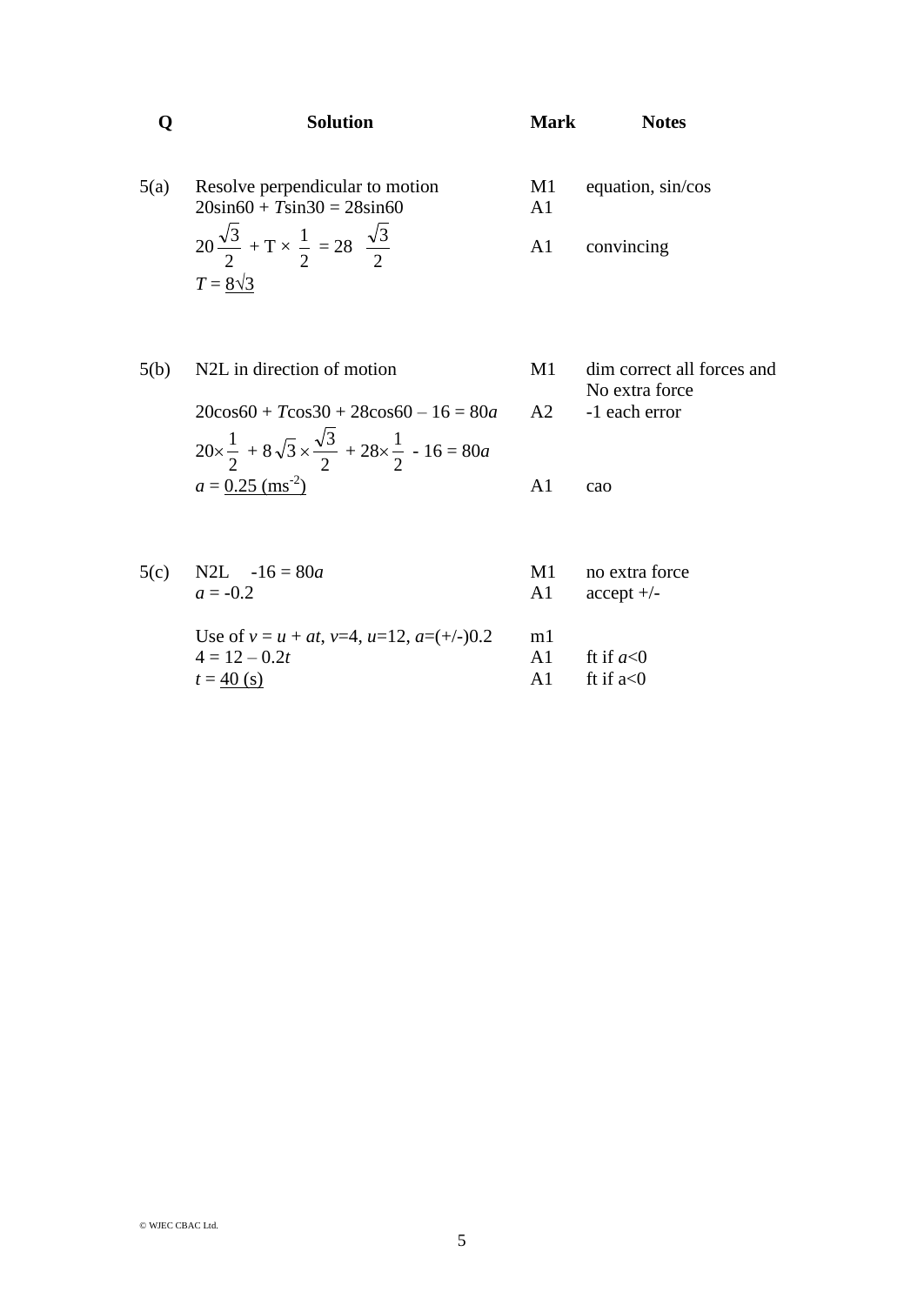|      | <b>Solution</b>                                                                                  | <b>Mark</b> | <b>Notes</b>                                 |
|------|--------------------------------------------------------------------------------------------------|-------------|----------------------------------------------|
| 5(a) | Resolve perpendicular to motion<br>$20\sin 60 + T\sin 30 = 28\sin 60$                            | M1<br>A1    | equation, sin/cos                            |
|      | $20\frac{\sqrt{3}}{2}$ + T $\times \frac{1}{2}$ = 28 $\frac{\sqrt{3}}{2}$                        | A1          | convincing                                   |
|      | $T = 8\sqrt{3}$                                                                                  |             |                                              |
| 5(b) | N <sub>2</sub> L in direction of motion                                                          | M1          | dim correct all forces and<br>No extra force |
|      | $20\cos 60 + T\cos 30 + 28\cos 60 - 16 = 80a$                                                    | A2          | -1 each error                                |
|      | $20\times\frac{1}{2}$ + $8\sqrt{3}\times\frac{\sqrt{3}}{2}$ + $28\times\frac{1}{2}$ - $16 = 80a$ |             |                                              |
|      | $a = 0.25$ (ms <sup>-2</sup> )                                                                   | A1          | cao                                          |

| 5(c) | N2L $-16 = 80a$                                     | M1            | no extra force |
|------|-----------------------------------------------------|---------------|----------------|
|      | $a = -0.2$                                          | A1            | $accept +/-$   |
|      |                                                     |               |                |
|      | Use of $v = u + at$ , $v=4$ , $u=12$ , $a=(+/-)0.2$ | ml            |                |
|      | $4 = 12 - 0.2t$                                     | A1            | ft if $a<0$    |
|      | $t = 40$ (s)                                        | $\mathbf{A}1$ | ft if $a < 0$  |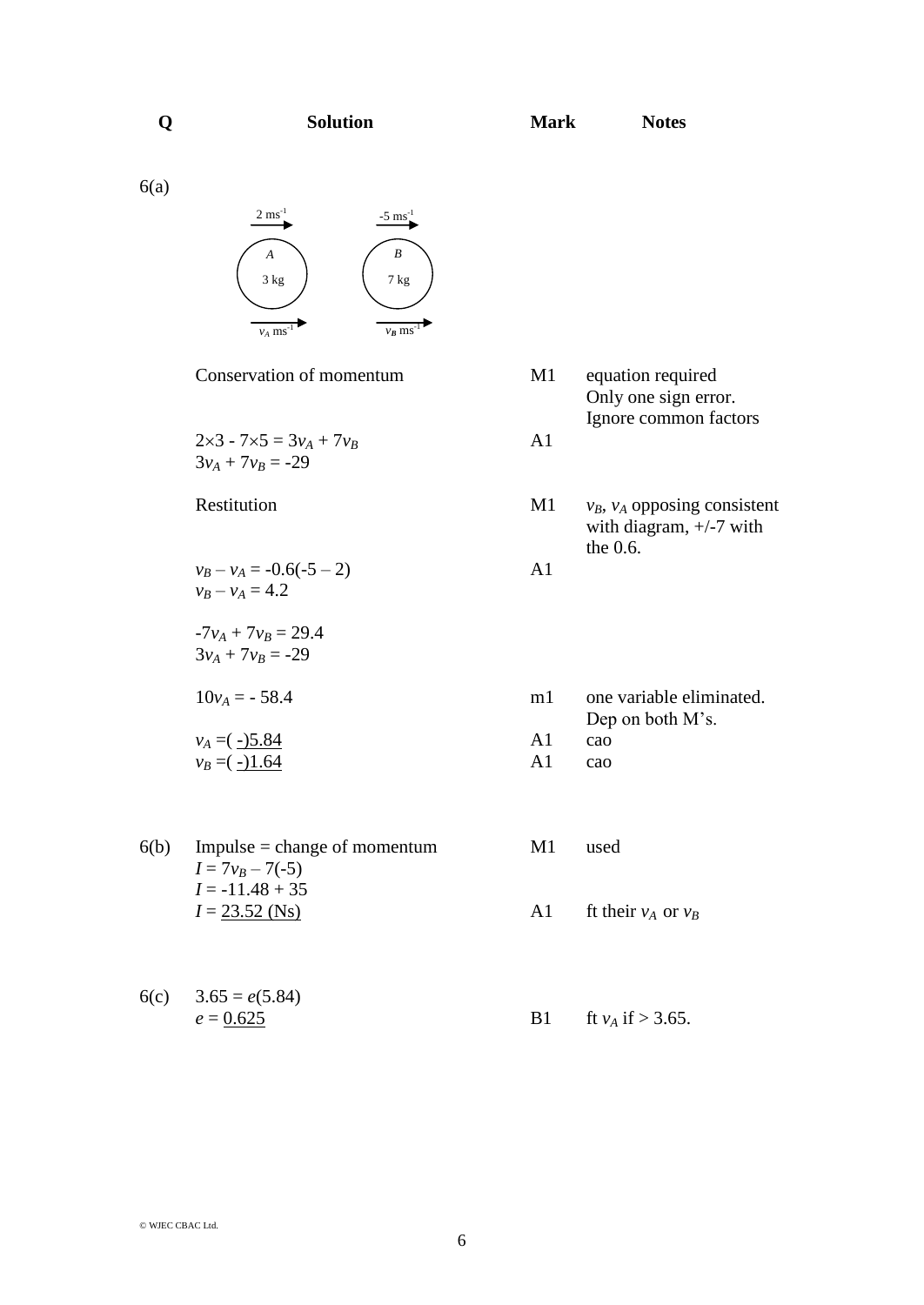6(a)



Conservation of momentum M1 equation required

 $2 \times 3 - 7 \times 5 = 3v_A + 7v_B$  A1  $3v_A + 7v_B = -29$ 

 $v_B - v_A = -0.6(-5 - 2)$  A1  $v_B - v_A = 4.2$ 

 $-7v_A + 7v_B = 29.4$  $3v_A + 7v_B = -29$ 

 $10v_A = -58.4$ 

$$
v_A = (-15.84 \text{ A1} \text{ cao})
$$
  
\n $v_B = (-11.64 \text{ A1} \text{ cao})$   
\nA1 cao

6(b) Impulse = change of momentum M1 used  $I = 7v_B - 7(-5)$  $I = -11.48 + 35$  $I = 23.52$  (Ns) A1 ft their  $v_A$  or  $v_B$ 

6(c)  $3.65 = e(5.84)$  $e = 0.625$  B1 ft *v<sub>A</sub>* if > 3.65.

Only one sign error. Ignore common factors

Restitution M1 *v<sub>B</sub>*, *v<sub>A</sub>* opposing consistent with diagram,  $+/-7$  with the 0.6.

| m1 | one variable eliminated. |
|----|--------------------------|
|    | Dep on both M's.         |

© WJEC CBAC Ltd.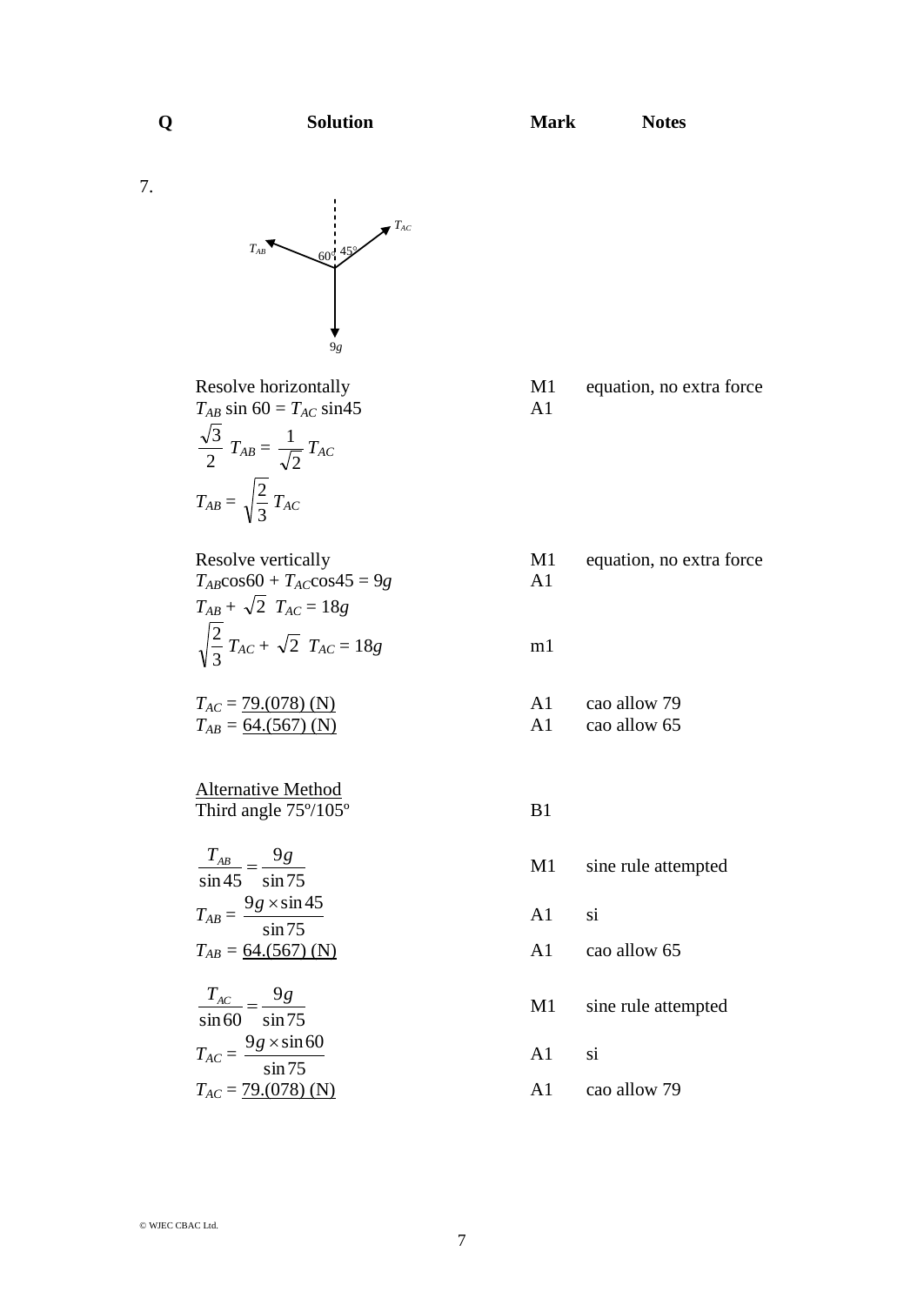7.



 $T_{AB}$  sin 60 =  $T_{AC}$  sin45 A1 2  $\frac{3}{2}T_{AB} =$ 2  $\frac{1}{\sqrt{2}}$   $T_{AC}$  $T_{AB} =$ 3  $\frac{2}{2}$   $T_{AC}$ 

 $T_{AB} \cos 60 + T_{AC} \cos 45 = 9g$  A1  $T_{AB} + \sqrt{2}$   $T_{AC} = 18g$ 3  $\frac{2}{3}T_{AC} + \sqrt{2}T_{AC} = 18g$  m1

 $T_{AB} = 64. (567)$  (N) A1 cao allow 65

Alternative Method Third angle  $75^{\circ}/105^{\circ}$  B1

sin75 9 sin45  $\frac{T_{AB}}{T_{AB}} = \frac{9g}{T}$  $T_{AB} =$ sin75  $9g \times \sin 45$  $T_{AB} = 64. (567)$  (N) A1 cao allow 65

$$
\frac{T_{AC}}{\sin 60} = \frac{9g}{\sin 75}
$$

$$
T_{AC} = \frac{9g \times \sin 60}{\sin 75}
$$

$$
T_{AC} = \frac{79(078) \text{ (N}}{}
$$

Resolve horizontally M1 equation, no extra force

Resolve vertically M1 equation, no extra force

 $T_{AC} = 79.078$  (N) A1 cao allow 79

M1 sine rule attempted

A1 si

M1 sine rule attempted

A1 si

*T*<sup>2</sup> and  $\frac{1}{2}$  and  $\frac{1}{2}$  and  $\frac{1}{2}$  cao allow 79.